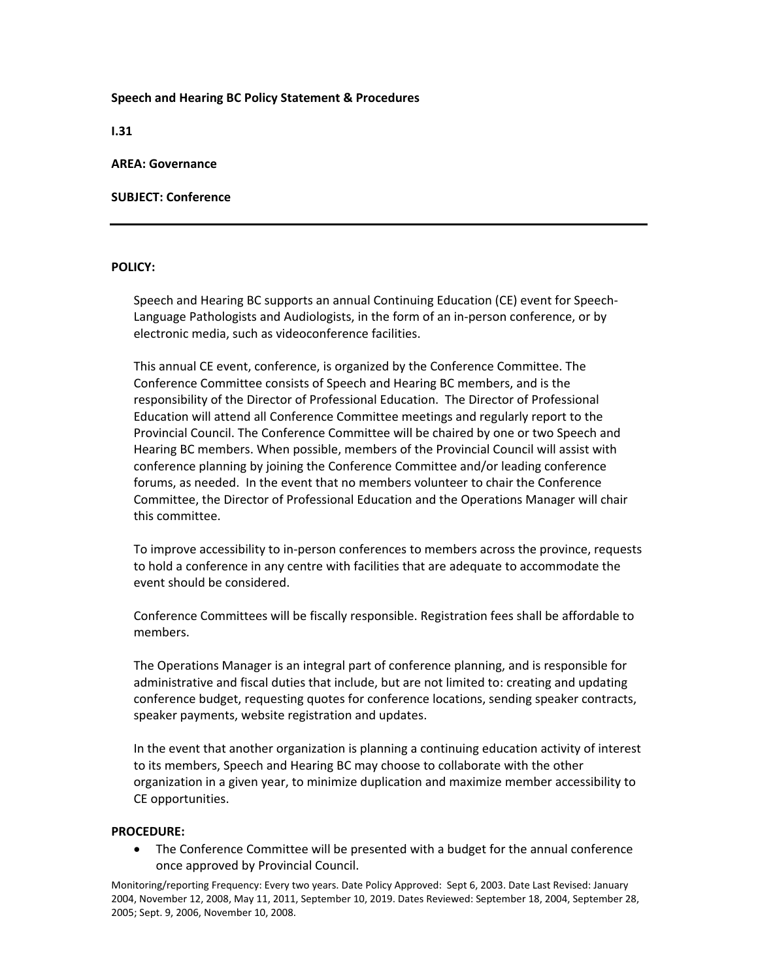## **Speech and Hearing BC Policy Statement & Procedures**

**I.31** 

## **AREA: Governance**

# **SUBJECT: Conference**

## **POLICY:**

Speech and Hearing BC supports an annual Continuing Education (CE) event for Speech‐ Language Pathologists and Audiologists, in the form of an in‐person conference, or by electronic media, such as videoconference facilities.

This annual CE event, conference, is organized by the Conference Committee. The Conference Committee consists of Speech and Hearing BC members, and is the responsibility of the Director of Professional Education. The Director of Professional Education will attend all Conference Committee meetings and regularly report to the Provincial Council. The Conference Committee will be chaired by one or two Speech and Hearing BC members. When possible, members of the Provincial Council will assist with conference planning by joining the Conference Committee and/or leading conference forums, as needed. In the event that no members volunteer to chair the Conference Committee, the Director of Professional Education and the Operations Manager will chair this committee.

To improve accessibility to in‐person conferences to members across the province, requests to hold a conference in any centre with facilities that are adequate to accommodate the event should be considered.

Conference Committees will be fiscally responsible. Registration fees shall be affordable to members.

The Operations Manager is an integral part of conference planning, and is responsible for administrative and fiscal duties that include, but are not limited to: creating and updating conference budget, requesting quotes for conference locations, sending speaker contracts, speaker payments, website registration and updates.

In the event that another organization is planning a continuing education activity of interest to its members, Speech and Hearing BC may choose to collaborate with the other organization in a given year, to minimize duplication and maximize member accessibility to CE opportunities.

### **PROCEDURE:**

 The Conference Committee will be presented with a budget for the annual conference once approved by Provincial Council.

Monitoring/reporting Frequency: Every two years. Date Policy Approved: Sept 6, 2003. Date Last Revised: January 2004, November 12, 2008, May 11, 2011, September 10, 2019. Dates Reviewed: September 18, 2004, September 28, 2005; Sept. 9, 2006, November 10, 2008.